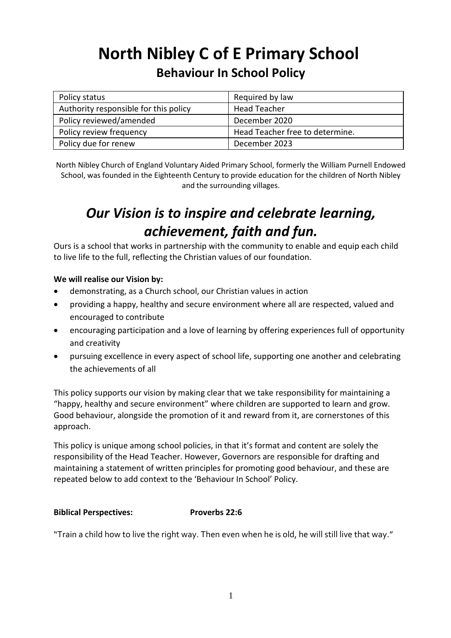# **North Nibley C of E Primary School Behaviour In School Policy**

| Policy status                         | Required by law                 |
|---------------------------------------|---------------------------------|
| Authority responsible for this policy | <b>Head Teacher</b>             |
| Policy reviewed/amended               | December 2020                   |
| Policy review frequency               | Head Teacher free to determine. |
| Policy due for renew                  | December 2023                   |

North Nibley Church of England Voluntary Aided Primary School, formerly the William Purnell Endowed School, was founded in the Eighteenth Century to provide education for the children of North Nibley and the surrounding villages.

## *Our Vision is to inspire and celebrate learning, achievement, faith and fun.*

Ours is a school that works in partnership with the community to enable and equip each child to live life to the full, reflecting the Christian values of our foundation.

## **We will realise our Vision by:**

- demonstrating, as a Church school, our Christian values in action
- providing a happy, healthy and secure environment where all are respected, valued and encouraged to contribute
- encouraging participation and a love of learning by offering experiences full of opportunity and creativity
- pursuing excellence in every aspect of school life, supporting one another and celebrating the achievements of all

This policy supports our vision by making clear that we take responsibility for maintaining a "happy, healthy and secure environment" where children are supported to learn and grow. Good behaviour, alongside the promotion of it and reward from it, are cornerstones of this approach.

This policy is unique among school policies, in that it's format and content are solely the responsibility of the Head Teacher. However, Governors are responsible for drafting and maintaining a statement of written principles for promoting good behaviour, and these are repeated below to add context to the 'Behaviour In School' Policy.

## **Biblical Perspectives:** Proverbs 22:6

"Train a child how to live the right way. Then even when he is old, he will still live that way."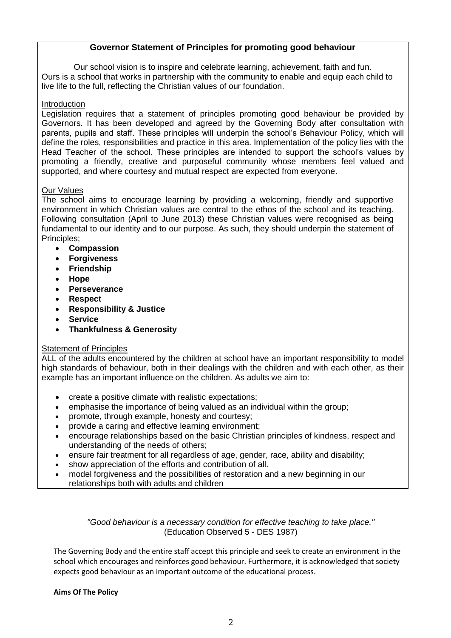## **Governor Statement of Principles for promoting good behaviour**

Our school vision is to inspire and celebrate learning, achievement, faith and fun. Ours is a school that works in partnership with the community to enable and equip each child to live life to the full, reflecting the Christian values of our foundation.

## **Introduction**

Legislation requires that a statement of principles promoting good behaviour be provided by Governors. It has been developed and agreed by the Governing Body after consultation with parents, pupils and staff. These principles will underpin the school's Behaviour Policy, which will define the roles, responsibilities and practice in this area. Implementation of the policy lies with the Head Teacher of the school. These principles are intended to support the school's values by promoting a friendly, creative and purposeful community whose members feel valued and supported, and where courtesy and mutual respect are expected from everyone.

#### Our Values

The school aims to encourage learning by providing a welcoming, friendly and supportive environment in which Christian values are central to the ethos of the school and its teaching. Following consultation (April to June 2013) these Christian values were recognised as being fundamental to our identity and to our purpose. As such, they should underpin the statement of Principles;

- **Compassion**
- **Forgiveness**
- **Friendship**
- **Hope**
- **Perseverance**
- **Respect**
- **Responsibility & Justice**
- **Service**
- **Thankfulness & Generosity**

#### Statement of Principles

ALL of the adults encountered by the children at school have an important responsibility to model high standards of behaviour, both in their dealings with the children and with each other, as their example has an important influence on the children. As adults we aim to:

- create a positive climate with realistic expectations;
- emphasise the importance of being valued as an individual within the group;
- promote, through example, honesty and courtesy;
- provide a caring and effective learning environment;
- encourage relationships based on the basic Christian principles of kindness, respect and understanding of the needs of others;
- ensure fair treatment for all regardless of age, gender, race, ability and disability;
- show appreciation of the efforts and contribution of all.
- model forgiveness and the possibilities of restoration and a new beginning in our relationships both with adults and children

#### *"Good behaviour is a necessary condition for effective teaching to take place."* (Education Observed 5 - DES 1987)

The Governing Body and the entire staff accept this principle and seek to create an environment in the school which encourages and reinforces good behaviour. Furthermore, it is acknowledged that society expects good behaviour as an important outcome of the educational process.

#### **Aims Of The Policy**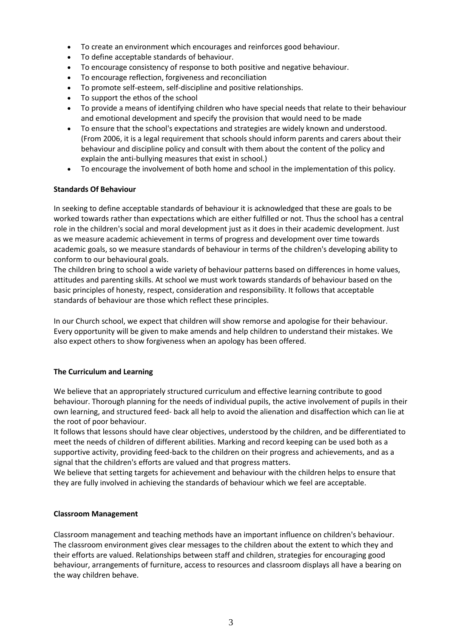- To create an environment which encourages and reinforces good behaviour.
- To define acceptable standards of behaviour.
- To encourage consistency of response to both positive and negative behaviour.
- To encourage reflection, forgiveness and reconciliation
- To promote self-esteem, self-discipline and positive relationships.
- To support the ethos of the school
- To provide a means of identifying children who have special needs that relate to their behaviour and emotional development and specify the provision that would need to be made
- To ensure that the school's expectations and strategies are widely known and understood. (From 2006, it is a legal requirement that schools should inform parents and carers about their behaviour and discipline policy and consult with them about the content of the policy and explain the anti-bullying measures that exist in school.)
- To encourage the involvement of both home and school in the implementation of this policy.

#### **Standards Of Behaviour**

In seeking to define acceptable standards of behaviour it is acknowledged that these are goals to be worked towards rather than expectations which are either fulfilled or not. Thus the school has a central role in the children's social and moral development just as it does in their academic development. Just as we measure academic achievement in terms of progress and development over time towards academic goals, so we measure standards of behaviour in terms of the children's developing ability to conform to our behavioural goals.

The children bring to school a wide variety of behaviour patterns based on differences in home values, attitudes and parenting skills. At school we must work towards standards of behaviour based on the basic principles of honesty, respect, consideration and responsibility. It follows that acceptable standards of behaviour are those which reflect these principles.

In our Church school, we expect that children will show remorse and apologise for their behaviour. Every opportunity will be given to make amends and help children to understand their mistakes. We also expect others to show forgiveness when an apology has been offered.

## **The Curriculum and Learning**

We believe that an appropriately structured curriculum and effective learning contribute to good behaviour. Thorough planning for the needs of individual pupils, the active involvement of pupils in their own learning, and structured feed- back all help to avoid the alienation and disaffection which can lie at the root of poor behaviour.

It follows that lessons should have clear objectives, understood by the children, and be differentiated to meet the needs of children of different abilities. Marking and record keeping can be used both as a supportive activity, providing feed-back to the children on their progress and achievements, and as a signal that the children's efforts are valued and that progress matters.

We believe that setting targets for achievement and behaviour with the children helps to ensure that they are fully involved in achieving the standards of behaviour which we feel are acceptable.

#### **Classroom Management**

Classroom management and teaching methods have an important influence on children's behaviour. The classroom environment gives clear messages to the children about the extent to which they and their efforts are valued. Relationships between staff and children, strategies for encouraging good behaviour, arrangements of furniture, access to resources and classroom displays all have a bearing on the way children behave.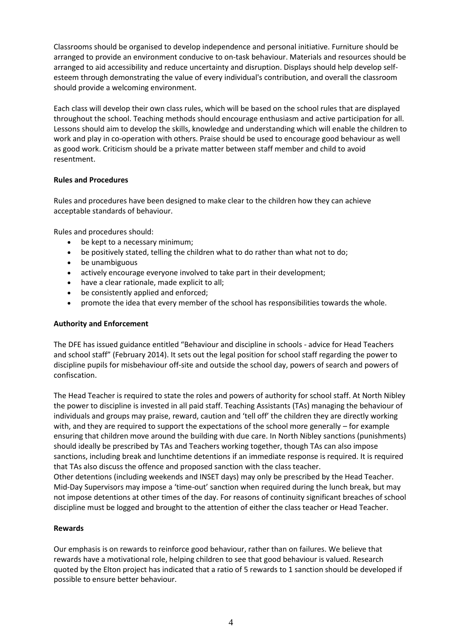Classrooms should be organised to develop independence and personal initiative. Furniture should be arranged to provide an environment conducive to on-task behaviour. Materials and resources should be arranged to aid accessibility and reduce uncertainty and disruption. Displays should help develop selfesteem through demonstrating the value of every individual's contribution, and overall the classroom should provide a welcoming environment.

Each class will develop their own class rules, which will be based on the school rules that are displayed throughout the school. Teaching methods should encourage enthusiasm and active participation for all. Lessons should aim to develop the skills, knowledge and understanding which will enable the children to work and play in co-operation with others. Praise should be used to encourage good behaviour as well as good work. Criticism should be a private matter between staff member and child to avoid resentment.

#### **Rules and Procedures**

Rules and procedures have been designed to make clear to the children how they can achieve acceptable standards of behaviour.

Rules and procedures should:

- be kept to a necessary minimum;
- be positively stated, telling the children what to do rather than what not to do;
- be unambiguous
- actively encourage everyone involved to take part in their development;
- have a clear rationale, made explicit to all;
- be consistently applied and enforced;
- promote the idea that every member of the school has responsibilities towards the whole.

#### **Authority and Enforcement**

The DFE has issued guidance entitled "Behaviour and discipline in schools - advice for Head Teachers and school staff" (February 2014). It sets out the legal position for school staff regarding the power to discipline pupils for misbehaviour off-site and outside the school day, powers of search and powers of confiscation.

The Head Teacher is required to state the roles and powers of authority for school staff. At North Nibley the power to discipline is invested in all paid staff. Teaching Assistants (TAs) managing the behaviour of individuals and groups may praise, reward, caution and 'tell off' the children they are directly working with, and they are required to support the expectations of the school more generally – for example ensuring that children move around the building with due care. In North Nibley sanctions (punishments) should ideally be prescribed by TAs and Teachers working together, though TAs can also impose sanctions, including break and lunchtime detentions if an immediate response is required. It is required that TAs also discuss the offence and proposed sanction with the class teacher.

Other detentions (including weekends and INSET days) may only be prescribed by the Head Teacher. Mid-Day Supervisors may impose a 'time-out' sanction when required during the lunch break, but may not impose detentions at other times of the day. For reasons of continuity significant breaches of school discipline must be logged and brought to the attention of either the class teacher or Head Teacher.

#### **Rewards**

Our emphasis is on rewards to reinforce good behaviour, rather than on failures. We believe that rewards have a motivational role, helping children to see that good behaviour is valued. Research quoted by the Elton project has indicated that a ratio of 5 rewards to 1 sanction should be developed if possible to ensure better behaviour.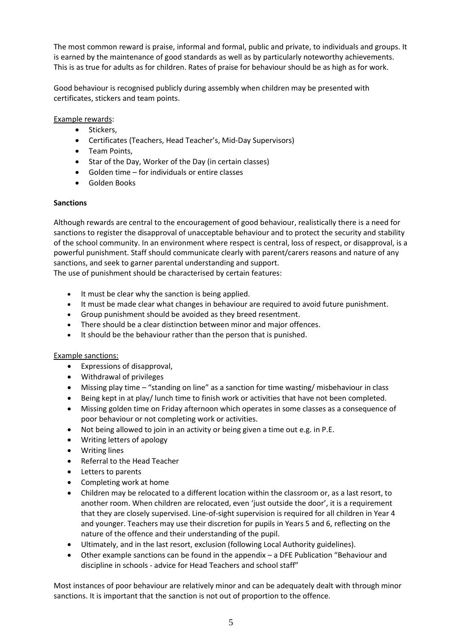The most common reward is praise, informal and formal, public and private, to individuals and groups. It is earned by the maintenance of good standards as well as by particularly noteworthy achievements. This is as true for adults as for children. Rates of praise for behaviour should be as high as for work.

Good behaviour is recognised publicly during assembly when children may be presented with certificates, stickers and team points.

Example rewards:

- Stickers.
- Certificates (Teachers, Head Teacher's, Mid-Day Supervisors)
- Team Points.
- Star of the Day, Worker of the Day (in certain classes)
- Golden time for individuals or entire classes
- Golden Books

#### **Sanctions**

Although rewards are central to the encouragement of good behaviour, realistically there is a need for sanctions to register the disapproval of unacceptable behaviour and to protect the security and stability of the school community. In an environment where respect is central, loss of respect, or disapproval, is a powerful punishment. Staff should communicate clearly with parent/carers reasons and nature of any sanctions, and seek to garner parental understanding and support.

The use of punishment should be characterised by certain features:

- It must be clear why the sanction is being applied.
- It must be made clear what changes in behaviour are required to avoid future punishment.
- Group punishment should be avoided as they breed resentment.
- There should be a clear distinction between minor and major offences.
- It should be the behaviour rather than the person that is punished.

## Example sanctions:

- Expressions of disapproval,
- Withdrawal of privileges
- Missing play time "standing on line" as a sanction for time wasting/ misbehaviour in class
- Being kept in at play/ lunch time to finish work or activities that have not been completed.
- Missing golden time on Friday afternoon which operates in some classes as a consequence of poor behaviour or not completing work or activities.
- Not being allowed to join in an activity or being given a time out e.g. in P.E.
- Writing letters of apology
- Writing lines
- Referral to the Head Teacher
- Letters to parents
- Completing work at home
- Children may be relocated to a different location within the classroom or, as a last resort, to another room. When children are relocated, even 'just outside the door', it is a requirement that they are closely supervised. Line-of-sight supervision is required for all children in Year 4 and younger. Teachers may use their discretion for pupils in Years 5 and 6, reflecting on the nature of the offence and their understanding of the pupil.
- Ultimately, and in the last resort, exclusion (following Local Authority guidelines).
- Other example sanctions can be found in the appendix a DFE Publication "Behaviour and discipline in schools - advice for Head Teachers and school staff"

Most instances of poor behaviour are relatively minor and can be adequately dealt with through minor sanctions. It is important that the sanction is not out of proportion to the offence.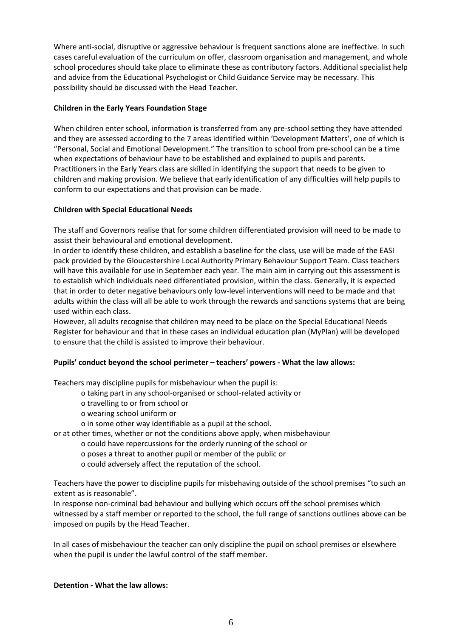Where anti-social, disruptive or aggressive behaviour is frequent sanctions alone are ineffective. In such cases careful evaluation of the curriculum on offer, classroom organisation and management, and whole school procedures should take place to eliminate these as contributory factors. Additional specialist help and advice from the Educational Psychologist or Child Guidance Service may be necessary. This possibility should be discussed with the Head Teacher.

## **Children in the Early Years Foundation Stage**

When children enter school, information is transferred from any pre-school setting they have attended and they are assessed according to the 7 areas identified within 'Development Matters', one of which is "Personal, Social and Emotional Development." The transition to school from pre-school can be a time when expectations of behaviour have to be established and explained to pupils and parents. Practitioners in the Early Years class are skilled in identifying the support that needs to be given to children and making provision. We believe that early identification of any difficulties will help pupils to conform to our expectations and that provision can be made.

#### **Children with Special Educational Needs**

The staff and Governors realise that for some children differentiated provision will need to be made to assist their behavioural and emotional development.

In order to identify these children, and establish a baseline for the class, use will be made of the EASI pack provided by the Gloucestershire Local Authority Primary Behaviour Support Team. Class teachers will have this available for use in September each year. The main aim in carrying out this assessment is to establish which individuals need differentiated provision, within the class. Generally, it is expected that in order to deter negative behaviours only low-level interventions will need to be made and that adults within the class will all be able to work through the rewards and sanctions systems that are being used within each class.

However, all adults recognise that children may need to be place on the Special Educational Needs Register for behaviour and that in these cases an individual education plan (MyPlan) will be developed to ensure that the child is assisted to improve their behaviour.

#### **Pupils' conduct beyond the school perimeter – teachers' powers - What the law allows:**

Teachers may discipline pupils for misbehaviour when the pupil is:

- o taking part in any school-organised or school-related activity or
- o travelling to or from school or
- o wearing school uniform or
- o in some other way identifiable as a pupil at the school.

or at other times, whether or not the conditions above apply, when misbehaviour

- o could have repercussions for the orderly running of the school or
- o poses a threat to another pupil or member of the public or
- o could adversely affect the reputation of the school.

Teachers have the power to discipline pupils for misbehaving outside of the school premises "to such an extent as is reasonable".

In response non-criminal bad behaviour and bullying which occurs off the school premises which witnessed by a staff member or reported to the school, the full range of sanctions outlines above can be imposed on pupils by the Head Teacher.

In all cases of misbehaviour the teacher can only discipline the pupil on school premises or elsewhere when the pupil is under the lawful control of the staff member.

#### **Detention - What the law allows:**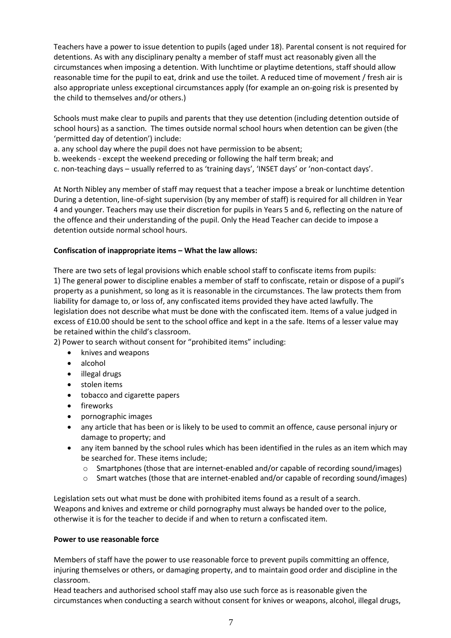Teachers have a power to issue detention to pupils (aged under 18). Parental consent is not required for detentions. As with any disciplinary penalty a member of staff must act reasonably given all the circumstances when imposing a detention. With lunchtime or playtime detentions, staff should allow reasonable time for the pupil to eat, drink and use the toilet. A reduced time of movement / fresh air is also appropriate unless exceptional circumstances apply (for example an on-going risk is presented by the child to themselves and/or others.)

Schools must make clear to pupils and parents that they use detention (including detention outside of school hours) as a sanction. The times outside normal school hours when detention can be given (the 'permitted day of detention') include:

a. any school day where the pupil does not have permission to be absent;

b. weekends - except the weekend preceding or following the half term break; and

c. non-teaching days – usually referred to as 'training days', 'INSET days' or 'non-contact days'.

At North Nibley any member of staff may request that a teacher impose a break or lunchtime detention During a detention, line-of-sight supervision (by any member of staff) is required for all children in Year 4 and younger. Teachers may use their discretion for pupils in Years 5 and 6, reflecting on the nature of the offence and their understanding of the pupil. Only the Head Teacher can decide to impose a detention outside normal school hours.

#### **Confiscation of inappropriate items – What the law allows:**

There are two sets of legal provisions which enable school staff to confiscate items from pupils: 1) The general power to discipline enables a member of staff to confiscate, retain or dispose of a pupil's property as a punishment, so long as it is reasonable in the circumstances. The law protects them from liability for damage to, or loss of, any confiscated items provided they have acted lawfully. The legislation does not describe what must be done with the confiscated item. Items of a value judged in excess of £10.00 should be sent to the school office and kept in a the safe. Items of a lesser value may be retained within the child's classroom.

2) Power to search without consent for "prohibited items" including:

- knives and weapons
- alcohol
- illegal drugs
- stolen items
- tobacco and cigarette papers
- fireworks
- pornographic images
- any article that has been or is likely to be used to commit an offence, cause personal injury or damage to property; and
- any item banned by the school rules which has been identified in the rules as an item which may be searched for. These items include;
	- o Smartphones (those that are internet-enabled and/or capable of recording sound/images)
	- o Smart watches (those that are internet-enabled and/or capable of recording sound/images)

Legislation sets out what must be done with prohibited items found as a result of a search. Weapons and knives and extreme or child pornography must always be handed over to the police, otherwise it is for the teacher to decide if and when to return a confiscated item.

#### **Power to use reasonable force**

Members of staff have the power to use reasonable force to prevent pupils committing an offence, injuring themselves or others, or damaging property, and to maintain good order and discipline in the classroom.

Head teachers and authorised school staff may also use such force as is reasonable given the circumstances when conducting a search without consent for knives or weapons, alcohol, illegal drugs,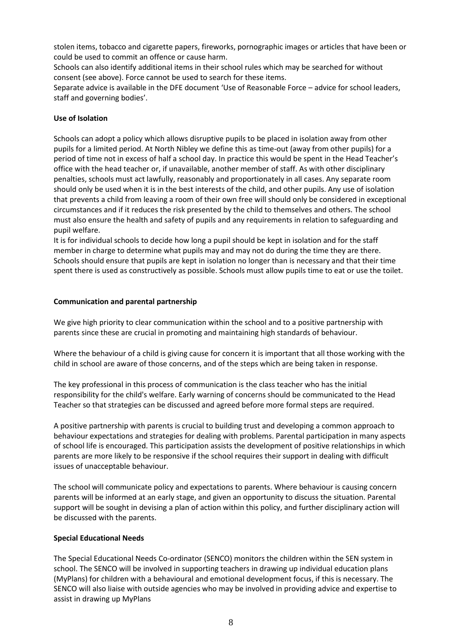stolen items, tobacco and cigarette papers, fireworks, pornographic images or articles that have been or could be used to commit an offence or cause harm.

Schools can also identify additional items in their school rules which may be searched for without consent (see above). Force cannot be used to search for these items.

Separate advice is available in the DFE document 'Use of Reasonable Force – advice for school leaders, staff and governing bodies'.

#### **Use of Isolation**

Schools can adopt a policy which allows disruptive pupils to be placed in isolation away from other pupils for a limited period. At North Nibley we define this as time-out (away from other pupils) for a period of time not in excess of half a school day. In practice this would be spent in the Head Teacher's office with the head teacher or, if unavailable, another member of staff. As with other disciplinary penalties, schools must act lawfully, reasonably and proportionately in all cases. Any separate room should only be used when it is in the best interests of the child, and other pupils. Any use of isolation that prevents a child from leaving a room of their own free will should only be considered in exceptional circumstances and if it reduces the risk presented by the child to themselves and others. The school must also ensure the health and safety of pupils and any requirements in relation to safeguarding and pupil welfare.

It is for individual schools to decide how long a pupil should be kept in isolation and for the staff member in charge to determine what pupils may and may not do during the time they are there. Schools should ensure that pupils are kept in isolation no longer than is necessary and that their time spent there is used as constructively as possible. Schools must allow pupils time to eat or use the toilet.

#### **Communication and parental partnership**

We give high priority to clear communication within the school and to a positive partnership with parents since these are crucial in promoting and maintaining high standards of behaviour.

Where the behaviour of a child is giving cause for concern it is important that all those working with the child in school are aware of those concerns, and of the steps which are being taken in response.

The key professional in this process of communication is the class teacher who has the initial responsibility for the child's welfare. Early warning of concerns should be communicated to the Head Teacher so that strategies can be discussed and agreed before more formal steps are required.

A positive partnership with parents is crucial to building trust and developing a common approach to behaviour expectations and strategies for dealing with problems. Parental participation in many aspects of school life is encouraged. This participation assists the development of positive relationships in which parents are more likely to be responsive if the school requires their support in dealing with difficult issues of unacceptable behaviour.

The school will communicate policy and expectations to parents. Where behaviour is causing concern parents will be informed at an early stage, and given an opportunity to discuss the situation. Parental support will be sought in devising a plan of action within this policy, and further disciplinary action will be discussed with the parents.

#### **Special Educational Needs**

The Special Educational Needs Co-ordinator (SENCO) monitors the children within the SEN system in school. The SENCO will be involved in supporting teachers in drawing up individual education plans (MyPlans) for children with a behavioural and emotional development focus, if this is necessary. The SENCO will also liaise with outside agencies who may be involved in providing advice and expertise to assist in drawing up MyPlans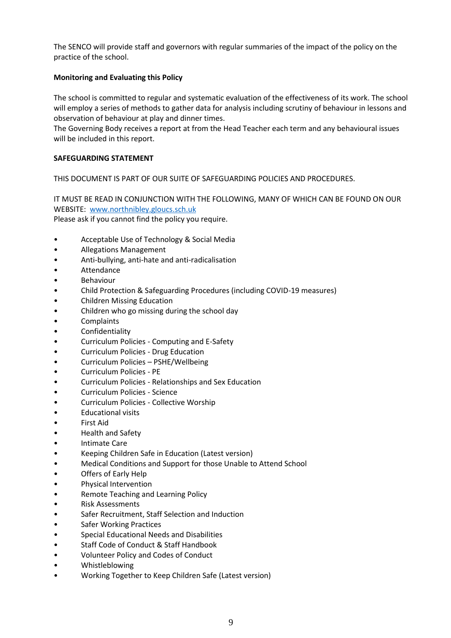The SENCO will provide staff and governors with regular summaries of the impact of the policy on the practice of the school.

## **Monitoring and Evaluating this Policy**

The school is committed to regular and systematic evaluation of the effectiveness of its work. The school will employ a series of methods to gather data for analysis including scrutiny of behaviour in lessons and observation of behaviour at play and dinner times.

The Governing Body receives a report at from the Head Teacher each term and any behavioural issues will be included in this report.

#### **SAFEGUARDING STATEMENT**

THIS DOCUMENT IS PART OF OUR SUITE OF SAFEGUARDING POLICIES AND PROCEDURES.

IT MUST BE READ IN CONJUNCTION WITH THE FOLLOWING, MANY OF WHICH CAN BE FOUND ON OUR WEBSITE: [www.northnibley.gloucs.sch.uk](http://www.northnibley.gloucs.sch.uk/)

Please ask if you cannot find the policy you require.

- Acceptable Use of Technology & Social Media
- Allegations Management
- Anti-bullying, anti-hate and anti-radicalisation
- Attendance
- Behaviour
- Child Protection & Safeguarding Procedures (including COVID-19 measures)
- Children Missing Education
- Children who go missing during the school day
- **Complaints**
- Confidentiality
- Curriculum Policies Computing and E-Safety
- Curriculum Policies Drug Education
- Curriculum Policies PSHE/Wellbeing
- Curriculum Policies PE
- Curriculum Policies Relationships and Sex Education
- Curriculum Policies Science
- Curriculum Policies Collective Worship
- Educational visits
- First Aid
- Health and Safety
- Intimate Care
- Keeping Children Safe in Education (Latest version)
- Medical Conditions and Support for those Unable to Attend School
- Offers of Early Help
- Physical Intervention
- Remote Teaching and Learning Policy
- Risk Assessments
- Safer Recruitment, Staff Selection and Induction
- Safer Working Practices
- Special Educational Needs and Disabilities
- Staff Code of Conduct & Staff Handbook
- Volunteer Policy and Codes of Conduct
- Whistleblowing
- Working Together to Keep Children Safe (Latest version)